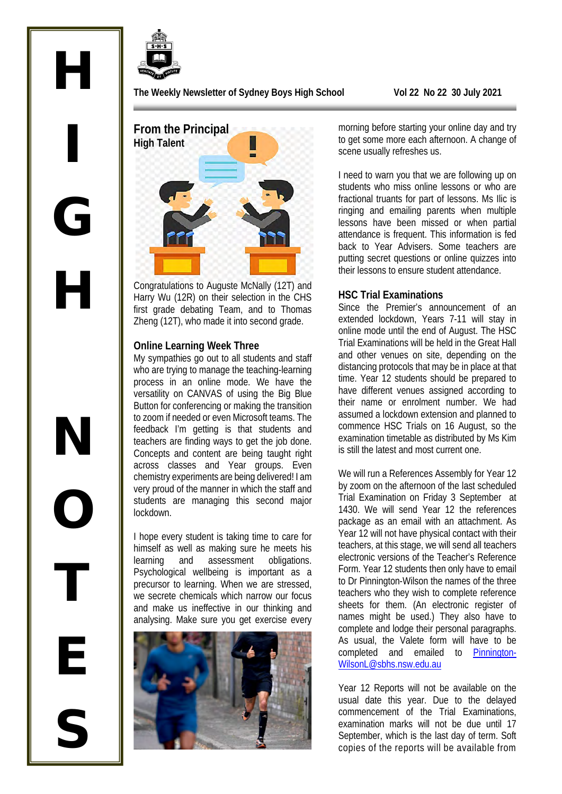

H

I

G

H

**The Weekly Newsletter of Sydney Boys High School Vol 22 No 22 30 July 2021** 

**From the Principal High Talent**

Congratulations to Auguste McNally (12T) and Harry Wu (12R) on their selection in the CHS first grade debating Team, and to Thomas Zheng (12T), who made it into second grade.

#### **Online Learning Week Three**

My sympathies go out to all students and staff who are trying to manage the teaching-learning process in an online mode. We have the versatility on CANVAS of using the Big Blue Button for conferencing or making the transition to zoom if needed or even Microsoft teams. The feedback I'm getting is that students and teachers are finding ways to get the job done. Concepts and content are being taught right across classes and Year groups. Even chemistry experiments are being delivered! I am very proud of the manner in which the staff and students are managing this second major lockdown.

I hope every student is taking time to care for himself as well as making sure he meets his learning and assessment obligations. Psychological wellbeing is important as a precursor to learning. When we are stressed, we secrete chemicals which narrow our focus and make us ineffective in our thinking and analysing. Make sure you get exercise every



morning before starting your online day and try to get some more each afternoon. A change of scene usually refreshes us.

I need to warn you that we are following up on students who miss online lessons or who are fractional truants for part of lessons. Ms Ilic is ringing and emailing parents when multiple lessons have been missed or when partial attendance is frequent. This information is fed back to Year Advisers. Some teachers are putting secret questions or online quizzes into their lessons to ensure student attendance.

#### **HSC Trial Examinations**

Since the Premier's announcement of an extended lockdown, Years 7-11 will stay in online mode until the end of August. The HSC Trial Examinations will be held in the Great Hall and other venues on site, depending on the distancing protocols that may be in place at that time. Year 12 students should be prepared to have different venues assigned according to their name or enrolment number. We had assumed a lockdown extension and planned to commence HSC Trials on 16 August, so the examination timetable as distributed by Ms Kim is still the latest and most current one.

We will run a References Assembly for Year 12 by zoom on the afternoon of the last scheduled Trial Examination on Friday 3 September at 1430. We will send Year 12 the references package as an email with an attachment. As Year 12 will not have physical contact with their teachers, at this stage, we will send all teachers electronic versions of the Teacher's Reference Form. Year 12 students then only have to email to Dr Pinnington-Wilson the names of the three teachers who they wish to complete reference sheets for them. (An electronic register of names might be used.) They also have to complete and lodge their personal paragraphs. As usual, the Valete form will have to be completed and emailed to [Pinnington-](mailto:Pinnington-WilsonL@sbhs.nsw.edu.au)[WilsonL@sbhs.nsw.edu.au](mailto:Pinnington-WilsonL@sbhs.nsw.edu.au) 

Year 12 Reports will not be available on the usual date this year. Due to the delayed commencement of the Trial Examinations, examination marks will not be due until 17 September, which is the last day of term. Soft copies of the reports will be available from

N O T E S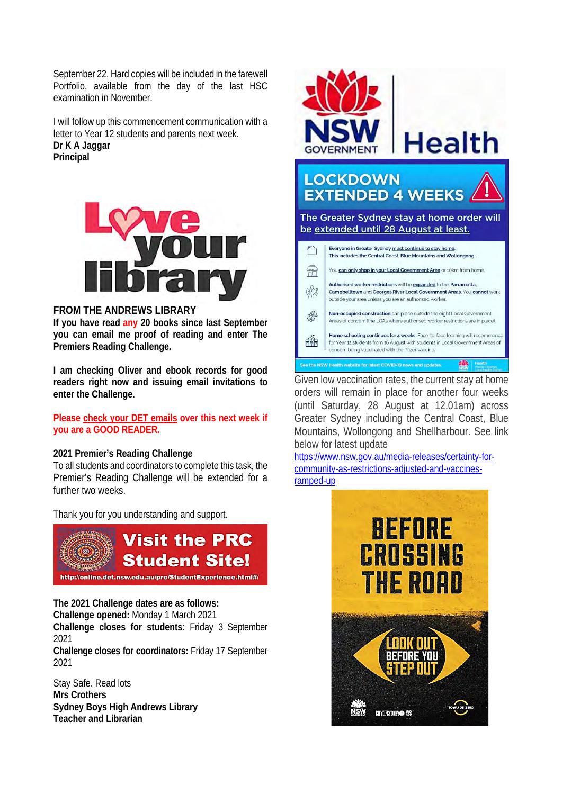September 22. Hard copies will be included in the farewell Portfolio, available from the day of the last HSC examination in November.

I will follow up this commencement communication with a letter to Year 12 students and parents next week. **Dr K A Jaggar Principal**



#### **FROM THE ANDREWS LIBRARY**

**If you have read any 20 books since last September you can email me proof of reading and enter The Premiers Reading Challenge.**

**I am checking Oliver and ebook records for good readers right now and issuing email invitations to enter the Challenge.** 

**Please check your DET emails over this next week if you are a GOOD READER.** 

#### **2021 Premier's Reading Challenge**

To all students and coordinators to complete this task, the Premier's Reading Challenge will be extended for a further two weeks.

Thank you for you understanding and support.



**The 2021 Challenge dates are as follows: Challenge opened:** Monday 1 March 2021 **Challenge closes for students**: Friday 3 September 2021

**Challenge closes for coordinators:** Friday 17 September 2021

Stay Safe. Read lots **Mrs Crothers Sydney Boys High Andrews Library Teacher and Librarian**



Given low vaccination rates, the current stay at home orders will remain in place for another four weeks (until Saturday, 28 August at 12.01am) across Greater Sydney including the Central Coast, Blue Mountains, Wollongong and Shellharbour. See link below for latest update

[https://www.nsw.gov.au/media-releases/certainty-for](https://www.nsw.gov.au/media-releases/certainty-for-community-as-restrictions-adjusted-and-vaccines-ramped-up)[community-as-restrictions-adjusted-and-vaccines](https://www.nsw.gov.au/media-releases/certainty-for-community-as-restrictions-adjusted-and-vaccines-ramped-up)[ramped-up](https://www.nsw.gov.au/media-releases/certainty-for-community-as-restrictions-adjusted-and-vaccines-ramped-up)

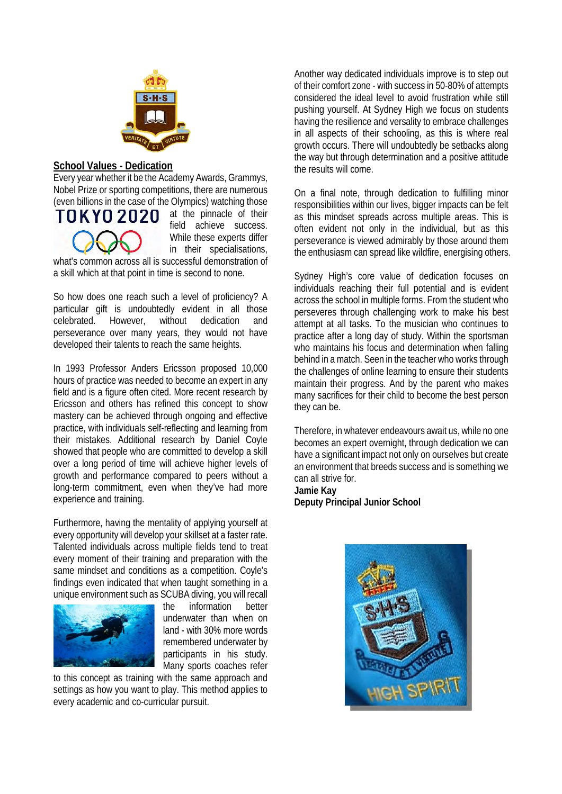

#### **School Values - Dedication**

Every year whether it be the Academy Awards, Grammys, Nobel Prize or sporting competitions, there are numerous (even billions in the case of the Olympics) watching those



at the pinnacle of their field achieve success. While these experts differ in their specialisations,

what's common across all is successful demonstration of a skill which at that point in time is second to none.

So how does one reach such a level of proficiency? A particular gift is undoubtedly evident in all those celebrated. However, without dedication and perseverance over many years, they would not have developed their talents to reach the same heights.

In 1993 Professor Anders Ericsson proposed 10,000 hours of practice was needed to become an expert in any field and is a figure often cited. More recent research by Ericsson and others has refined this concept to show mastery can be achieved through ongoing and effective practice, with individuals self-reflecting and learning from their mistakes. Additional research by Daniel Coyle showed that people who are committed to develop a skill over a long period of time will achieve higher levels of growth and performance compared to peers without a long-term commitment, even when they've had more experience and training.

Furthermore, having the mentality of applying yourself at every opportunity will develop your skillset at a faster rate. Talented individuals across multiple fields tend to treat every moment of their training and preparation with the same mindset and conditions as a competition. Coyle's findings even indicated that when taught something in a unique environment such as SCUBA diving, you will recall



the information better underwater than when on land - with 30% more words remembered underwater by participants in his study. Many sports coaches refer

to this concept as training with the same approach and settings as how you want to play. This method applies to every academic and co-curricular pursuit.

Another way dedicated individuals improve is to step out of their comfort zone - with success in 50-80% of attempts considered the ideal level to avoid frustration while still pushing yourself. At Sydney High we focus on students having the resilience and versality to embrace challenges in all aspects of their schooling, as this is where real growth occurs. There will undoubtedly be setbacks along the way but through determination and a positive attitude the results will come.

On a final note, through dedication to fulfilling minor responsibilities within our lives, bigger impacts can be felt as this mindset spreads across multiple areas. This is often evident not only in the individual, but as this perseverance is viewed admirably by those around them the enthusiasm can spread like wildfire, energising others.

Sydney High's core value of dedication focuses on individuals reaching their full potential and is evident across the school in multiple forms. From the student who perseveres through challenging work to make his best attempt at all tasks. To the musician who continues to practice after a long day of study. Within the sportsman who maintains his focus and determination when falling behind in a match. Seen in the teacher who works through the challenges of online learning to ensure their students maintain their progress. And by the parent who makes many sacrifices for their child to become the best person they can be.

Therefore, in whatever endeavours await us, while no one becomes an expert overnight, through dedication we can have a significant impact not only on ourselves but create an environment that breeds success and is something we can all strive for.

**Jamie Kay Deputy Principal Junior School**

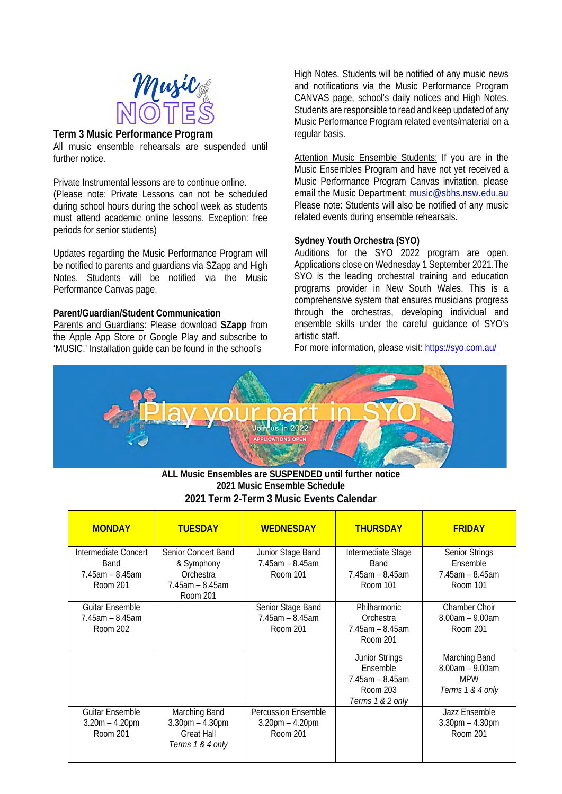

#### **Term 3 Music Performance Program**

All music ensemble rehearsals are suspended until further notice

Private Instrumental lessons are to continue online. (Please note: Private Lessons can not be scheduled during school hours during the school week as students must attend academic online lessons. Exception: free periods for senior students)

Updates regarding the Music Performance Program will be notified to parents and guardians via SZapp and High Notes. Students will be notified via the Music Performance Canvas page.

#### **Parent/Guardian/Student Communication**

Parents and Guardians: Please download **SZapp** from the Apple App Store or Google Play and subscribe to 'MUSIC.' Installation guide can be found in the school's

High Notes. Students will be notified of any music news and notifications via the Music Performance Program CANVAS page, school's daily notices and High Notes. Students are responsible to read and keep updated of any Music Performance Program related events/material on a regular basis.

Attention Music Ensemble Students: If you are in the Music Ensembles Program and have not yet received a Music Performance Program Canvas invitation, please email the Music Department: [music@sbhs.nsw.edu.au](mailto:music@sbhs.nsw.edu.au) Please note: Students will also be notified of any music related events during ensemble rehearsals.

#### **Sydney Youth Orchestra (SYO)**

Auditions for the SYO 2022 program are open. Applications close on Wednesday 1 September 2021.The SYO is the leading orchestral training and education programs provider in New South Wales. This is a comprehensive system that ensures musicians progress through the orchestras, developing individual and ensemble skills under the careful guidance of SYO's artistic staff.

For more information, please visit:<https://syo.com.au/>



**ALL Music Ensembles are SUSPENDED until further notice 2021 Music Ensemble Schedule 2021 Term 2-Term 3 Music Events Calendar**

| <b>MONDAY</b>                                                     | <b>TUESDAY</b>                                                                             | <b>WEDNESDAY</b>                                                | <b>THURSDAY</b>                                                                            | <b>FRIDAY</b>                                                          |
|-------------------------------------------------------------------|--------------------------------------------------------------------------------------------|-----------------------------------------------------------------|--------------------------------------------------------------------------------------------|------------------------------------------------------------------------|
| Intermediate Concert<br>Band<br>$7.45$ am $- 8.45$ am<br>Room 201 | <b>Senior Concert Band</b><br>& Symphony<br>Orchestra<br>$7.45$ am $- 8.45$ am<br>Room 201 | Junior Stage Band<br>$7.45$ am $- 8.45$ am<br>Room 101          | Intermediate Stage<br>Band<br>$7.45$ am $- 8.45$ am<br>Room 101                            | <b>Senior Strings</b><br>Ensemble<br>$7.45$ am $- 8.45$ am<br>Room 101 |
| <b>Guitar Ensemble</b><br>$7.45$ am $- 8.45$ am<br>Room 202       |                                                                                            | Senior Stage Band<br>$7.45$ am $- 8.45$ am<br>Room 201          | Philharmonic<br>Orchestra<br>$7.45$ am $- 8.45$ am<br>Room 201                             | <b>Chamber Choir</b><br>$8.00am - 9.00am$<br>Room 201                  |
|                                                                   |                                                                                            |                                                                 | <b>Junior Strings</b><br>Ensemble<br>$7.45$ am $- 8.45$ am<br>Room 203<br>Terms 1 & 2 only | Marching Band<br>$8.00am - 9.00am$<br><b>MPW</b><br>Terms 1 & 4 only   |
| <b>Guitar Ensemble</b><br>$3.20m - 4.20pm$<br>Room 201            | Marching Band<br>$3.30$ pm $- 4.30$ pm<br><b>Great Hall</b><br>Terms 1 & 4 only            | <b>Percussion Ensemble</b><br>$3.20$ pm $- 4.20$ pm<br>Room 201 |                                                                                            | Jazz Ensemble<br>$3.30$ pm $- 4.30$ pm<br>Room 201                     |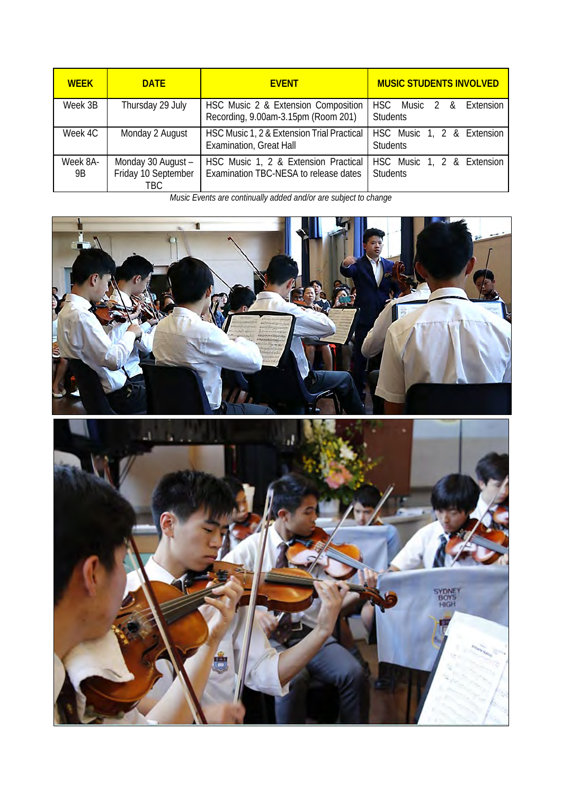| <b>WEEK</b><br><b>DATE</b> |                                                   | <b>EVENT</b>                                                                  | <b>MUSIC STUDENTS INVOLVED</b>                |  |  |
|----------------------------|---------------------------------------------------|-------------------------------------------------------------------------------|-----------------------------------------------|--|--|
| Week 3B                    | Thursday 29 July                                  | HSC Music 2 & Extension Composition<br>Recording, 9.00am-3.15pm (Room 201)    | HSC Music 2 & Extension<br><b>Students</b>    |  |  |
| Week 4C                    | Monday 2 August                                   | HSC Music 1, 2 & Extension Trial Practical<br><b>Examination, Great Hall</b>  | HSC Music 1, 2 & Extension<br><b>Students</b> |  |  |
| Week 8A-<br>9B             | Monday 30 August -<br>Friday 10 September<br>TRC. | HSC Music 1, 2 & Extension Practical<br>Examination TBC-NESA to release dates | HSC Music 1, 2 & Extension<br><b>Students</b> |  |  |

*Music Events are continually added and/or are subject to change* 



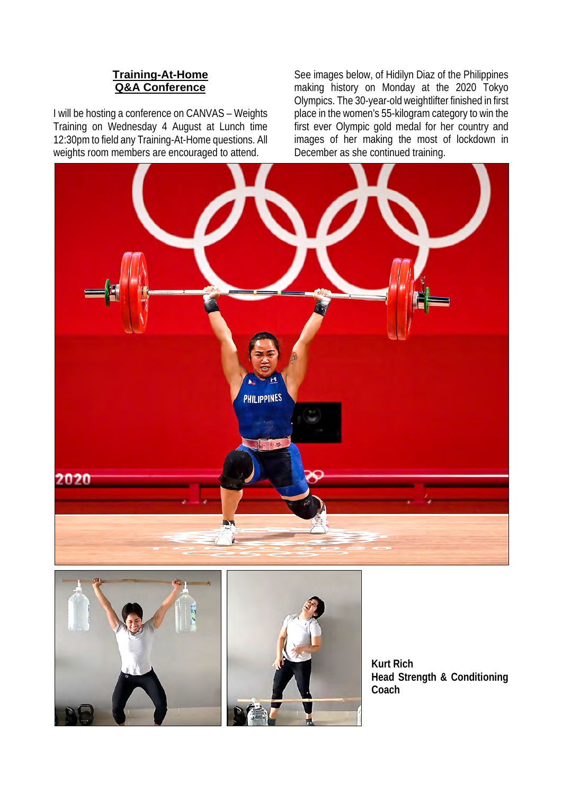#### **Training-At-Home Q&A Conference**

I will be hosting a conference on CANVAS – Weights Training on Wednesday 4 August at Lunch time 12:30pm to field any Training-At-Home questions. All weights room members are encouraged to attend.

See images below, of Hidilyn Diaz of the Philippines making history on Monday at the 2020 Tokyo Olympics. The 30-year-old weightlifter finished in first place in the women's 55-kilogram category to win the first ever Olympic gold medal for her country and images of her making the most of lockdown in December as she continued training.





**Kurt Rich Head Strength & Conditioning Coach**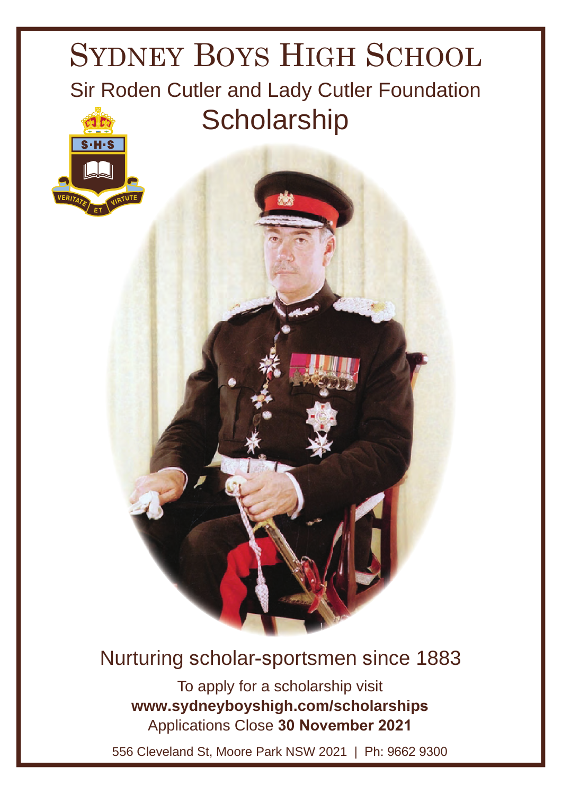## SYDNEY BOYS HIGH SCHOOL Sir Roden Cutler and Lady Cutler Foundation **Scholarship**



## Nurturing scholar-sportsmen since 1883

To apply for a scholarship visit www.sydneyboyshigh.com/scholarships Applications Close 30 November 2021

556 Cleveland St, Moore Park NSW 2021 | Ph: 9662 9300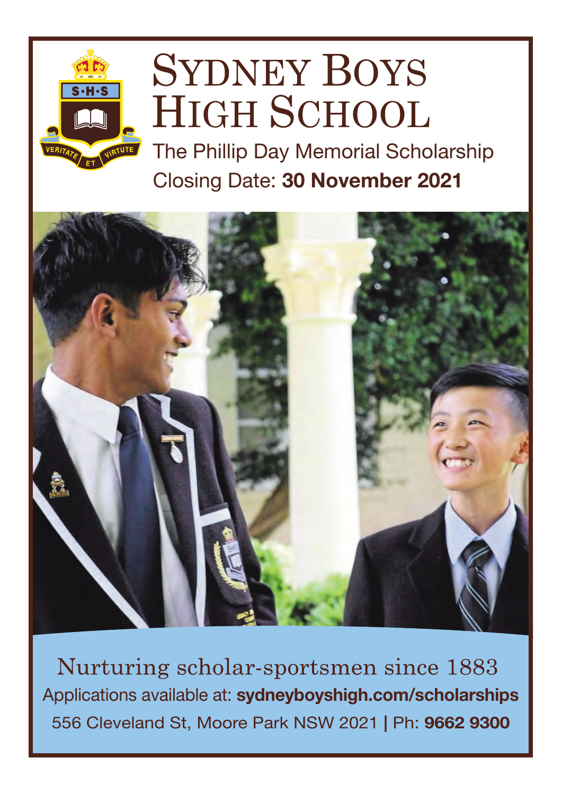# **SYDNEY BOYS HIGH SCHOOL**

Closing Date: 30 November 2021 The Phillip Day Memorial Scholarship



Nurturing scholar-sportsmen since 1883 Applications available at: sydneyboyshigh.com/scholarships556 Cleveland St, Moore Park NSW 2021 | Ph: 9662 9300